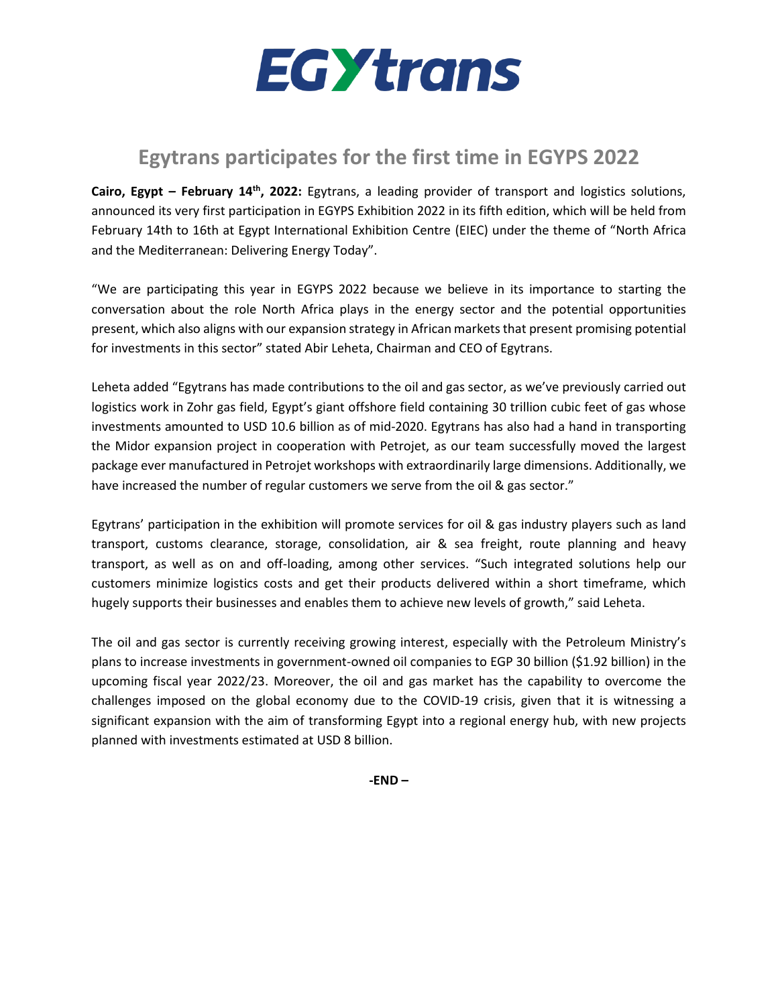

## **Egytrans participates for the first time in EGYPS 2022**

**Cairo, Egypt – February 14th , 2022:** [Egytrans,](https://en.amwalalghad.com/tag/egytrans/) a leading provider of transport and logistics solutions, announced its very first participation in EGYPS Exhibition 2022 in its fifth edition, which will be held from February 14th to 16th at Egypt International Exhibition Centre (EIEC) under the theme of "North Africa and the Mediterranean: Delivering Energy Today".

"We are participating this year in EGYPS 2022 because we believe in its importance to starting the conversation about the role North Africa plays in the energy sector and the potential opportunities present, which also aligns with our expansion strategy in African markets that present promising potential for investments in this sector" stated Abir Leheta, Chairman and CEO of Egytrans.

Leheta added "Egytrans has made contributions to the oil and gas sector, as we've previously carried out logistics work in Zohr gas field, Egypt's giant offshore field containing 30 trillion cubic feet of gas whose investments amounted to USD 10.6 billion as of mid-2020. Egytrans has also had a hand in transporting the Midor expansion project in cooperation with Petrojet, as our team successfully moved the largest package ever manufactured in Petrojet workshops with extraordinarily large dimensions. Additionally, we have increased the number of regular customers we serve from the oil & gas sector."

Egytrans' participation in the exhibition will promote services for oil & gas industry players such as land transport, customs clearance, storage, consolidation, air & sea freight, route planning and heavy transport, as well as on and off-loading, among other services. "Such integrated solutions help our customers minimize logistics costs and get their products delivered within a short timeframe, which hugely supports their businesses and enables them to achieve new levels of growth," said Leheta.

The oil and gas sector is currently receiving growing interest, especially with the Petroleum Ministry's plans to increase investments in government-owned oil companies to EGP 30 billion (\$1.92 billion) in the upcoming fiscal year 2022/23. Moreover, the oil and gas market has the capability to overcome the challenges imposed on the global economy due to the COVID-19 crisis, given that it is witnessing a significant expansion with the aim of transforming Egypt into a regional energy hub, with new projects planned with investments estimated at USD 8 billion.

**-END –**